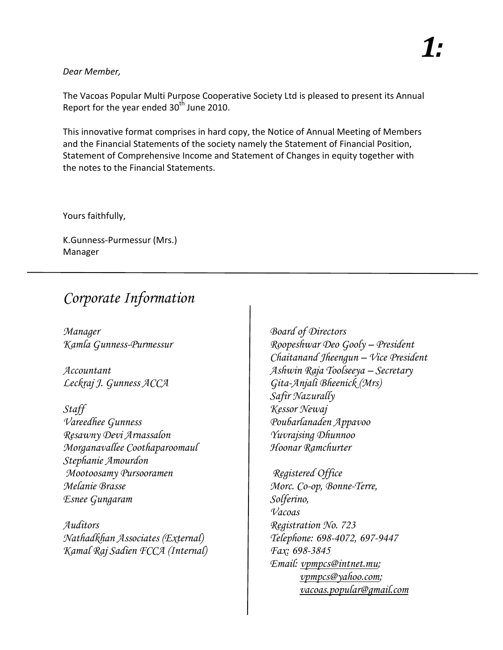## *Dear Member,*

The Vacoas Popular Multi Purpose Cooperative Society Ltd is pleased to present its Annual Report for the year ended  $30<sup>th</sup>$  June 2010.

This innovative format comprises in hard copy, the Notice of Annual Meeting of Members and the Financial Statements of the society namely the Statement of Financial Position, Statement of Comprehensive Income and Statement of Changes in equity together with the notes to the Financial Statements.

Yours faithfully,

K.Gunness-Purmessur (Mrs.) Manager

## *Corporate Information*

*Manager Board of Directors*

*Staff Kessor Newaj Vareedhee Gunness Poubarlanaden Appavoo Resawny Devi Arnassalon Yuvrajsing Dhunnoo Morganavallee Coothaparoomaul Hoonar Ramchurter Stephanie Amourdon Mootoosamy Pursooramen Registered Office Melanie Brasse Morc. Co-op, Bonne-Terre, Esnee Gungaram Solferino,*

*Auditors Registration No. 723 Nathadkhan Associates (External) Telephone: 698-4072, 697-9447 Kamal Raj Sadien FCCA (Internal) Fax: 698-3845*

*Kamla Gunness-Purmessur Roopeshwar Deo Gooly – President Chaitanand Jheengun – Vice President Accountant Ashwin Raja Toolseeya – Secretary Leckraj J. Gunness ACCA Gita-Anjali Bheenick (Mrs) Safir Nazurally*

> *Vacoas Email: vpmpcs@intnet.mu; vpmpcs@yahoo.com; vacoas.popular@gmail.com*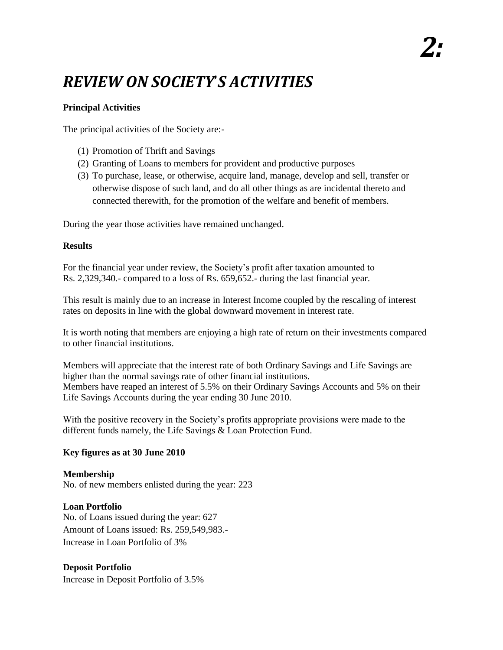## *REVIEW ON SOCIETY*'*S ACTIVITIES*

## **Principal Activities**

The principal activities of the Society are:-

- (1) Promotion of Thrift and Savings
- (2) Granting of Loans to members for provident and productive purposes
- (3) To purchase, lease, or otherwise, acquire land, manage, develop and sell, transfer or otherwise dispose of such land, and do all other things as are incidental thereto and connected therewith, for the promotion of the welfare and benefit of members.

During the year those activities have remained unchanged.

### **Results**

For the financial year under review, the Society's profit after taxation amounted to Rs. 2,329,340.- compared to a loss of Rs. 659,652.- during the last financial year.

This result is mainly due to an increase in Interest Income coupled by the rescaling of interest rates on deposits in line with the global downward movement in interest rate.

It is worth noting that members are enjoying a high rate of return on their investments compared to other financial institutions.

Members will appreciate that the interest rate of both Ordinary Savings and Life Savings are higher than the normal savings rate of other financial institutions. Members have reaped an interest of 5.5% on their Ordinary Savings Accounts and 5% on their Life Savings Accounts during the year ending 30 June 2010.

With the positive recovery in the Society's profits appropriate provisions were made to the different funds namely, the Life Savings & Loan Protection Fund.

## **Key figures as at 30 June 2010**

**Membership** No. of new members enlisted during the year: 223

## **Loan Portfolio**

No. of Loans issued during the year: 627 Amount of Loans issued: Rs. 259,549,983.- Increase in Loan Portfolio of 3%

## **Deposit Portfolio**

Increase in Deposit Portfolio of 3.5%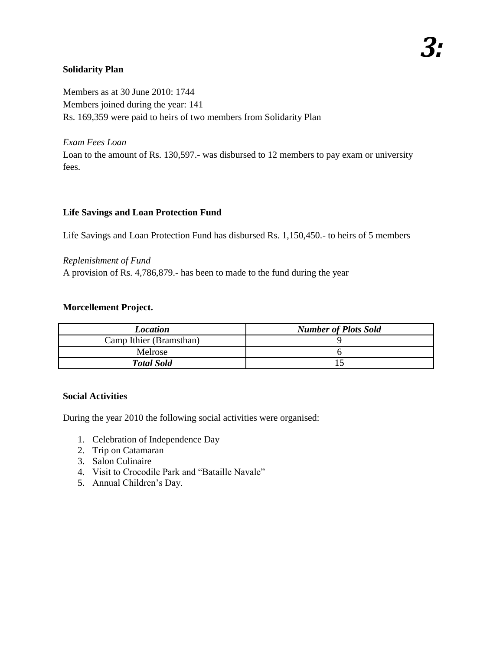## **Solidarity Plan**

Members as at 30 June 2010: 1744 Members joined during the year: 141 Rs. 169,359 were paid to heirs of two members from Solidarity Plan

*Exam Fees Loan* Loan to the amount of Rs. 130,597.- was disbursed to 12 members to pay exam or university fees.

## **Life Savings and Loan Protection Fund**

Life Savings and Loan Protection Fund has disbursed Rs. 1,150,450.- to heirs of 5 members

*Replenishment of Fund* A provision of Rs. 4,786,879.- has been to made to the fund during the year

## **Morcellement Project.**

| <b>Location</b>         | <b>Number of Plots Sold</b> |
|-------------------------|-----------------------------|
| Camp Ithier (Bramsthan) |                             |
| Melrose                 |                             |
| <b>Total Sold</b>       |                             |

#### **Social Activities**

During the year 2010 the following social activities were organised:

- 1. Celebration of Independence Day
- 2. Trip on Catamaran
- 3. Salon Culinaire
- 4. Visit to Crocodile Park and "Bataille Navale"
- 5. Annual Children's Day.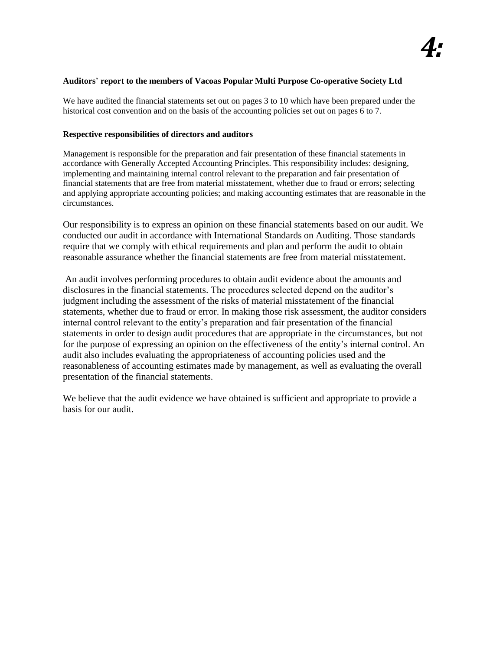#### **Auditors**' **report to the members of Vacoas Popular Multi Purpose Co-operative Society Ltd**

We have audited the financial statements set out on pages 3 to 10 which have been prepared under the historical cost convention and on the basis of the accounting policies set out on pages 6 to 7.

#### **Respective responsibilities of directors and auditors**

Management is responsible for the preparation and fair presentation of these financial statements in accordance with Generally Accepted Accounting Principles. This responsibility includes: designing, implementing and maintaining internal control relevant to the preparation and fair presentation of financial statements that are free from material misstatement, whether due to fraud or errors; selecting and applying appropriate accounting policies; and making accounting estimates that are reasonable in the circumstances.

Our responsibility is to express an opinion on these financial statements based on our audit. We conducted our audit in accordance with International Standards on Auditing. Those standards require that we comply with ethical requirements and plan and perform the audit to obtain reasonable assurance whether the financial statements are free from material misstatement.

An audit involves performing procedures to obtain audit evidence about the amounts and disclosures in the financial statements. The procedures selected depend on the auditor's judgment including the assessment of the risks of material misstatement of the financial statements, whether due to fraud or error. In making those risk assessment, the auditor considers internal control relevant to the entity's preparation and fair presentation of the financial statements in order to design audit procedures that are appropriate in the circumstances, but not for the purpose of expressing an opinion on the effectiveness of the entity's internal control. An audit also includes evaluating the appropriateness of accounting policies used and the reasonableness of accounting estimates made by management, as well as evaluating the overall presentation of the financial statements.

We believe that the audit evidence we have obtained is sufficient and appropriate to provide a basis for our audit.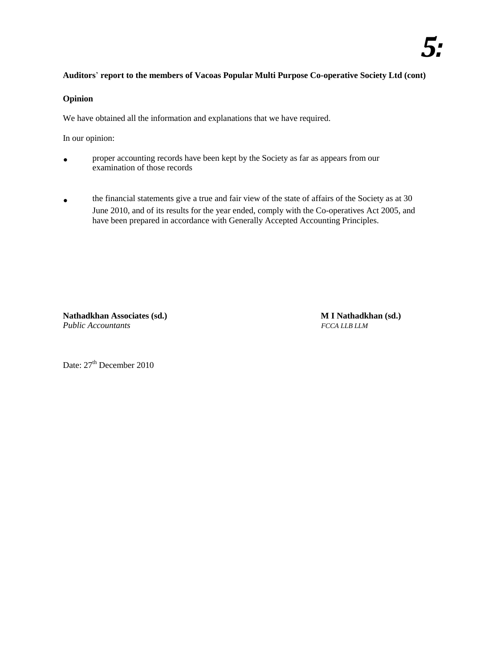## *5:*

#### **Auditors**' **report to the members of Vacoas Popular Multi Purpose Co-operative Society Ltd (cont)**

#### **Opinion**

We have obtained all the information and explanations that we have required.

In our opinion:

- **.** proper accounting records have been kept by the Society as far as appears from our examination of those records
- **the financial statements give a true and fair view of the state of affairs of the Society as at 30** June 2010, and of its results for the year ended, comply with the Co-operatives Act 2005, and have been prepared in accordance with Generally Accepted Accounting Principles.

**Nathadkhan Associates (sd.) M I Nathadkhan (sd.)** *Public Accountants FCCA LLB LLM*

Date:  $27<sup>th</sup>$  December 2010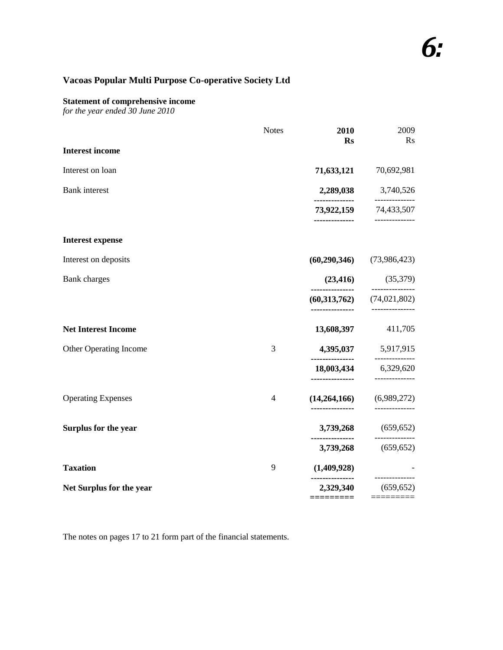#### **Statement of comprehensive income**

*for the year ended 30 June 2010*

|                            | <b>Notes</b> | 2010<br><b>Rs</b>    | 2009<br><b>Rs</b>                     |
|----------------------------|--------------|----------------------|---------------------------------------|
| <b>Interest income</b>     |              |                      |                                       |
| Interest on loan           |              | 71,633,121           | 70,692,981                            |
| <b>Bank</b> interest       |              | 2,289,038            | 3,740,526                             |
|                            |              | --------------       | ------------<br>73,922,159 74,433,507 |
| <b>Interest expense</b>    |              |                      |                                       |
| Interest on deposits       |              | (60, 290, 346)       | (73,986,423)                          |
| <b>Bank</b> charges        |              | (23, 416)            | (35,379)                              |
|                            |              | (60, 313, 762)       | (74, 021, 802)                        |
| <b>Net Interest Income</b> |              | 13,608,397           | 411,705                               |
| Other Operating Income     | 3            |                      | 4,395,037 5,917,915                   |
|                            |              | .<br>--------------- | -------------<br>18,003,434 6,329,620 |
| <b>Operating Expenses</b>  | 4            | (14,264,166)         | (6,989,272)                           |
| Surplus for the year       |              | 3,739,268            | (659, 652)                            |
|                            |              | <br>3,739,268        | ------------<br>(659, 652)            |
| <b>Taxation</b>            | 9            | (1,409,928)          |                                       |
| Net Surplus for the year   |              | 2,329,340            | --------------<br>(659, 652)          |
|                            |              | =========            |                                       |

The notes on pages 17 to 21 form part of the financial statements.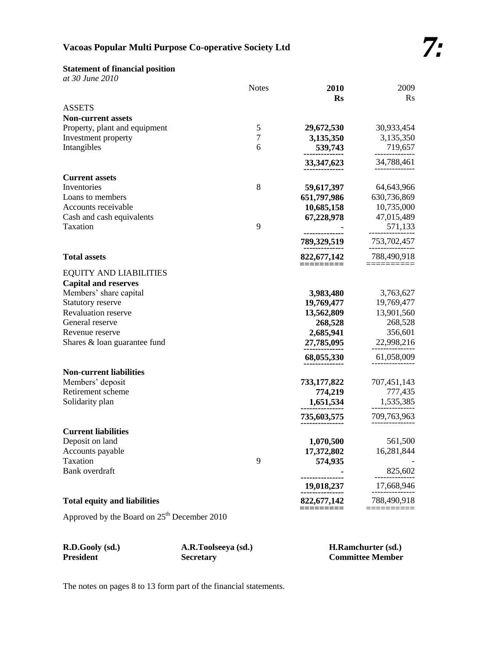## **Statement of financial position**

|  | at 30 June 2010 |
|--|-----------------|
|  |                 |

|                                     | <b>Notes</b>  | 2010                   | 2009            |
|-------------------------------------|---------------|------------------------|-----------------|
|                                     |               | $\mathbf{R}\mathbf{s}$ | $\rm Rs$        |
| <b>ASSETS</b>                       |               |                        |                 |
| <b>Non-current assets</b>           |               |                        |                 |
| Property, plant and equipment       | $\mathfrak s$ | 29,672,530             | 30,933,454      |
| Investment property                 | $\tau$        | 3,135,350              | 3,135,350       |
| Intangibles                         | 6             | 539,743                | 719,657         |
|                                     |               | 33, 347, 623           | 34,788,461      |
|                                     |               |                        |                 |
| <b>Current assets</b>               |               |                        |                 |
| Inventories                         | 8             | 59,617,397             | 64,643,966      |
| Loans to members                    |               | 651,797,986            | 630,736,869     |
| Accounts receivable                 |               | 10,685,158             | 10,735,000      |
| Cash and cash equivalents           |               | 67,228,978             | 47,015,489      |
| Taxation                            | 9             | -----------            | 571,133         |
|                                     |               | 789,329,519            | 753,702,457     |
|                                     |               |                        |                 |
| <b>Total assets</b>                 |               | 822, 677, 142          | 788,490,918     |
| <b>EQUITY AND LIABILITIES</b>       |               | ----------             | <u> :======</u> |
| <b>Capital and reserves</b>         |               |                        |                 |
| Members' share capital              |               | 3,983,480              | 3,763,627       |
| Statutory reserve                   |               | 19,769,477             | 19,769,477      |
| <b>Revaluation reserve</b>          |               | 13,562,809             | 13,901,560      |
| General reserve                     |               | 268,528                | 268,528         |
| Revenue reserve                     |               | 2,685,941              | 356,601         |
| Shares & loan guarantee fund        |               | 27,785,095             | 22,998,216      |
|                                     |               |                        |                 |
|                                     |               | 68,055,330             | 61,058,009      |
| <b>Non-current liabilities</b>      |               |                        |                 |
| Members' deposit                    |               | 733,177,822            | 707,451,143     |
| Retirement scheme                   |               | 774,219                | 777,435         |
| Solidarity plan                     |               | 1,651,534              | 1,535,385       |
|                                     |               |                        |                 |
|                                     |               | 735,603,575            | 709,763,963     |
| <b>Current liabilities</b>          |               |                        |                 |
| Deposit on land                     |               | 1,070,500              | 561,500         |
| Accounts payable                    |               | 17,372,802             | 16,281,844      |
| Taxation                            | 9             | 574,935                |                 |
| Bank overdraft                      |               |                        | 825,602         |
|                                     |               | ---------------        |                 |
|                                     |               | 19,018,237             | 17,668,946      |
| <b>Total equity and liabilities</b> |               | 822,677,142            | 788,490,918     |
|                                     |               |                        |                 |

Approved by the Board on  $25<sup>th</sup>$  December 2010

| R.D.Gooly (sd.)  | A.R.Toolseeya (sd.) | <b>H.Ramchurter (sd.)</b> |
|------------------|---------------------|---------------------------|
| <b>President</b> | <b>Secretary</b>    | <b>Committee Member</b>   |

The notes on pages 8 to 13 form part of the financial statements.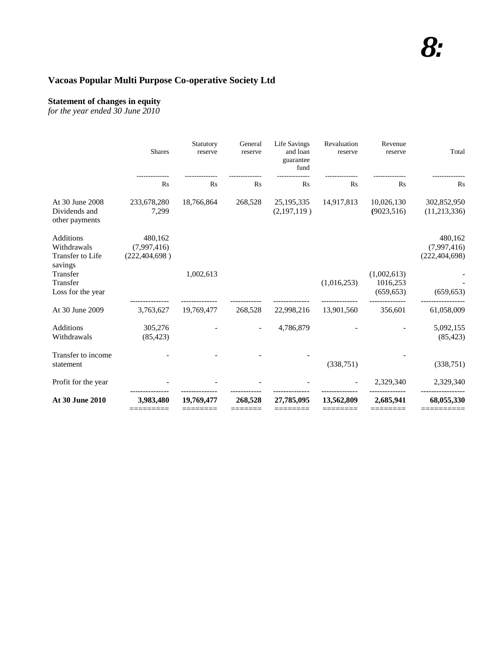#### **Statement of changes in equity**

*for the year ended 30 June 2010*

|                                                         | <b>Shares</b>                             | Statutory<br>reserve | General<br>reserve | Life Savings<br>and loan<br>guarantee<br>fund | Revaluation<br>reserve | Revenue<br>reserve                    | Total                                     |
|---------------------------------------------------------|-------------------------------------------|----------------------|--------------------|-----------------------------------------------|------------------------|---------------------------------------|-------------------------------------------|
|                                                         | $\mathbf{R}$ s                            | $\mathbf{R}$ s       | $\rm Rs$           | Rs                                            | <b>Rs</b>              | $\mathbf{R}$ s                        | Rs                                        |
| At 30 June 2008<br>Dividends and<br>other payments      | 233,678,280<br>7,299                      | 18,766,864           | 268,528            | 25, 195, 335<br>(2,197,119)                   | 14,917,813             | 10,026,130<br>(9023, 516)             | 302,852,950<br>(11,213,336)               |
| Additions<br>Withdrawals<br>Transfer to Life<br>savings | 480,162<br>(7,997,416)<br>(222, 404, 698) |                      |                    |                                               |                        |                                       | 480,162<br>(7,997,416)<br>(222, 404, 698) |
| Transfer<br>Transfer<br>Loss for the year               |                                           | 1,002,613            |                    |                                               | (1,016,253)            | (1,002,613)<br>1016,253<br>(659, 653) | (659, 653)                                |
| At 30 June 2009                                         | 3,763,627                                 | 19,769,477           | 268,528            | 22,998,216                                    | 13,901,560             | 356,601                               | 61,058,009                                |
| <b>Additions</b><br>Withdrawals                         | 305,276<br>(85, 423)                      |                      |                    | 4,786,879                                     |                        |                                       | 5,092,155<br>(85, 423)                    |
| Transfer to income<br>statement                         |                                           |                      |                    |                                               | (338, 751)             |                                       | (338, 751)                                |
| Profit for the year                                     |                                           |                      |                    |                                               |                        | 2,329,340                             | 2,329,340                                 |
| At 30 June 2010                                         | 3,983,480                                 | 19,769,477           | 268,528            | 27,785,095                                    | 13,562,809             | 2,685,941                             | 68,055,330                                |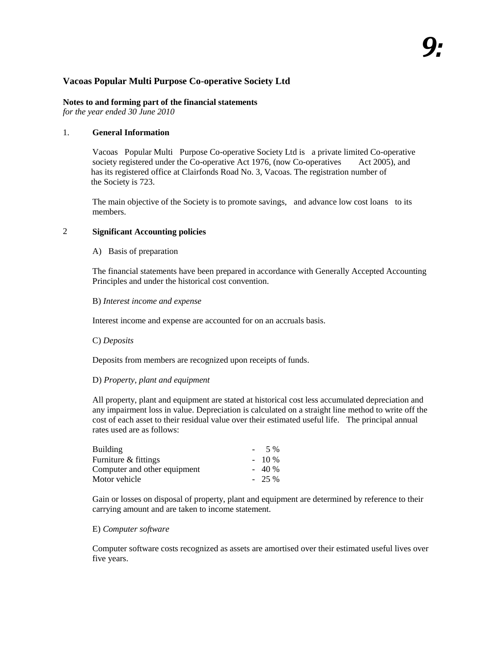## **Notes to and forming part of the financial statements**

*for the year ended 30 June 2010*

#### 1. **General Information**

Vacoas Popular Multi Purpose Co-operative Society Ltd is a private limited Co-operative society registered under the Co-operative Act 1976, (now Co-operatives Act 2005), and has its registered office at Clairfonds Road No. 3, Vacoas. The registration number of the Society is 723.

The main objective of the Society is to promote savings, and advance low cost loans to its members.

#### 2 **Significant Accounting policies**

#### A) Basis of preparation

The financial statements have been prepared in accordance with Generally Accepted Accounting Principles and under the historical cost convention.

#### B) *Interest income and expense*

Interest income and expense are accounted for on an accruals basis.

#### C) *Deposits*

Deposits from members are recognized upon receipts of funds.

#### D) *Property, plant and equipment*

All property, plant and equipment are stated at historical cost less accumulated depreciation and any impairment loss in value. Depreciation is calculated on a straight line method to write off the cost of each asset to their residual value over their estimated useful life. The principal annual rates used are as follows:

| Building                     | 5 %     |
|------------------------------|---------|
| Furniture & fittings         | $-10\%$ |
| Computer and other equipment | $-40%$  |
| Motor vehicle                | $-25\%$ |

Gain or losses on disposal of property, plant and equipment are determined by reference to their carrying amount and are taken to income statement.

#### E) *Computer software*

Computer software costs recognized as assets are amortised over their estimated useful lives over five years.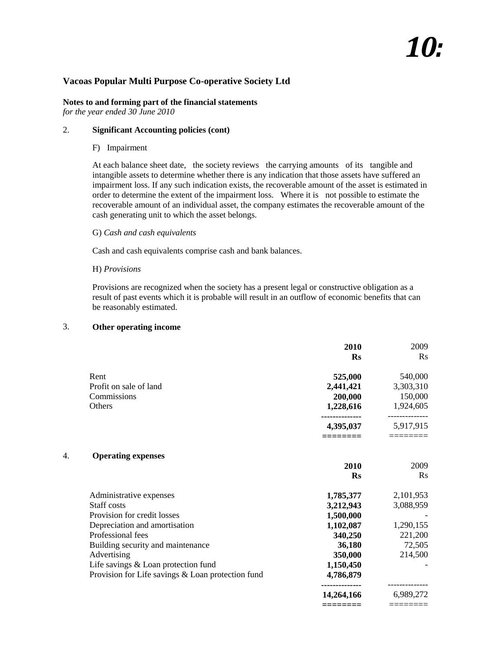# *10:*

#### **Vacoas Popular Multi Purpose Co-operative Society Ltd**

#### **Notes to and forming part of the financial statements** *for the year ended 30 June 2010*

#### 2. **Significant Accounting policies (cont)**

#### F) Impairment

At each balance sheet date, the society reviews the carrying amounts of its tangible and intangible assets to determine whether there is any indication that those assets have suffered an impairment loss. If any such indication exists, the recoverable amount of the asset is estimated in order to determine the extent of the impairment loss. Where it is not possible to estimate the recoverable amount of an individual asset, the company estimates the recoverable amount of the cash generating unit to which the asset belongs.

#### G) *Cash and cash equivalents*

Cash and cash equivalents comprise cash and bank balances.

#### H) *Provisions*

Provisions are recognized when the society has a present legal or constructive obligation as a result of past events which it is probable will result in an outflow of economic benefits that can be reasonably estimated.

#### 3. **Other operating income**

|    |                                                   | 2010              | 2009                    |
|----|---------------------------------------------------|-------------------|-------------------------|
|    |                                                   | <b>Rs</b>         | Rs                      |
|    | Rent                                              | 525,000           | 540,000                 |
|    | Profit on sale of land                            | 2,441,421         | 3,303,310               |
|    | Commissions                                       | 200,000           | 150,000                 |
|    | Others                                            | 1,228,616         | 1,924,605               |
|    |                                                   | 4,395,037         | 5,917,915               |
|    |                                                   |                   |                         |
| 4. | <b>Operating expenses</b>                         |                   | 2009                    |
|    |                                                   | 2010<br><b>Rs</b> | $\mathbf{R}$ s          |
|    | Administrative expenses                           | 1,785,377         | 2,101,953               |
|    | Staff costs                                       | 3,212,943         | 3,088,959               |
|    | Provision for credit losses                       | 1,500,000         |                         |
|    | Depreciation and amortisation                     | 1,102,087         | 1,290,155               |
|    | Professional fees                                 | 340,250           | 221,200                 |
|    | Building security and maintenance                 | 36,180            | 72,505                  |
|    | Advertising                                       | 350,000           | 214,500                 |
|    | Life savings & Loan protection fund               | 1,150,450         |                         |
|    | Provision for Life savings & Loan protection fund | 4,786,879         | . _ _ _ _ _ _ _ _ _ _ . |
|    |                                                   | 14,264,166        | 6,989,272               |
|    |                                                   | ========          | ========                |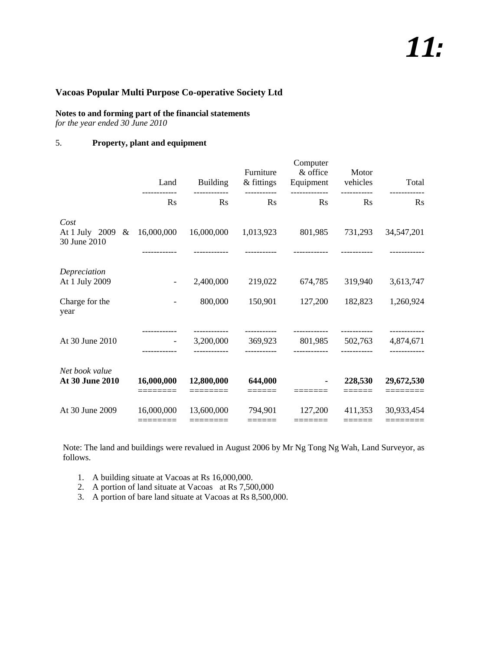# *11:*

## **Vacoas Popular Multi Purpose Co-operative Society Ltd**

## **Notes to and forming part of the financial statements**

*for the year ended 30 June 2010*

## 5. **Property, plant and equipment**

|                                          | Land                     | <b>Building</b>        | Furniture<br>& fittings | Computer<br>& office<br>Equipment vehicles | Motor   | Total                                |
|------------------------------------------|--------------------------|------------------------|-------------------------|--------------------------------------------|---------|--------------------------------------|
|                                          | $\mathbf{R}$ s           | $\rm Rs$               | $\rm Rs$                | -------------<br>$\mathbf{R}$ s            | Rs      | $\mathbf{R}$ s                       |
| Cost<br>At 1 July 2009 &<br>30 June 2010 | 16,000,000               | 16,000,000             | 1,013,923               | 801,985                                    | 731,293 | 34,547,201                           |
| Depreciation<br>At 1 July 2009           | $\overline{\phantom{a}}$ | 2,400,000              | 219,022                 | 674,785                                    | 319,940 | 3,613,747                            |
| Charge for the<br>year                   |                          | 800,000                | 150,901                 | 127,200                                    | 182,823 | 1,260,924                            |
| At 30 June 2010                          | $\sim 100$ km s $^{-1}$  | 3,200,000              | 369,923                 | 801,985 502,763                            |         | . _ _ _ _ _ _ _ _ _ _ _<br>4,874,671 |
| Net book value<br>At 30 June 2010        | 16,000,000               | 12,800,000<br>======== | 644,000                 |                                            | 228,530 | 29,672,530<br>========               |
| At 30 June 2009                          | 16,000,000<br>========   | 13,600,000<br>======== | 794,901<br>======       | 127,200<br>=======                         | 411,353 | 30,933,454<br>========               |

Note: The land and buildings were revalued in August 2006 by Mr Ng Tong Ng Wah, Land Surveyor, as follows.

- 1. A building situate at Vacoas at Rs 16,000,000.
- 2. A portion of land situate at Vacoas at Rs 7,500,000
- 3. A portion of bare land situate at Vacoas at Rs 8,500,000.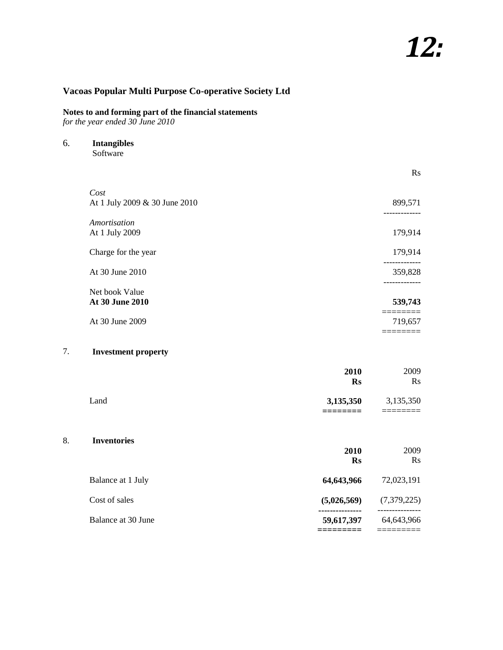#### **Notes to and forming part of the financial statements**

*for the year ended 30 June 2010*

6. **Intangibles**

**Software** 

|                                          | $\rm Rs$               |
|------------------------------------------|------------------------|
| Cost<br>At 1 July 2009 & 30 June 2010    | 899,571<br>----------- |
| Amortisation<br>At 1 July 2009           | 179,914                |
| Charge for the year                      | 179,914                |
| At 30 June 2010                          | 359,828                |
| Net book Value<br><b>At 30 June 2010</b> | 539,743                |
| At 30 June 2009                          | 719,657                |

### 7. **Investment property**

|      | 2010              | 2009      |
|------|-------------------|-----------|
|      | $\mathbf{Rs}$     | $\rm Rs$  |
| Land | 3,135,350         | 3,135,350 |
|      | _______<br>______ |           |

#### 8. **Inventories**

| титенотез          | 2010<br>Rs  | 2009<br>$\rm Rs$ |
|--------------------|-------------|------------------|
| Balance at 1 July  | 64,643,966  | 72,023,191       |
| Cost of sales      | (5,026,569) | (7,379,225)      |
| Balance at 30 June | 59,617,397  | 64,643,966       |